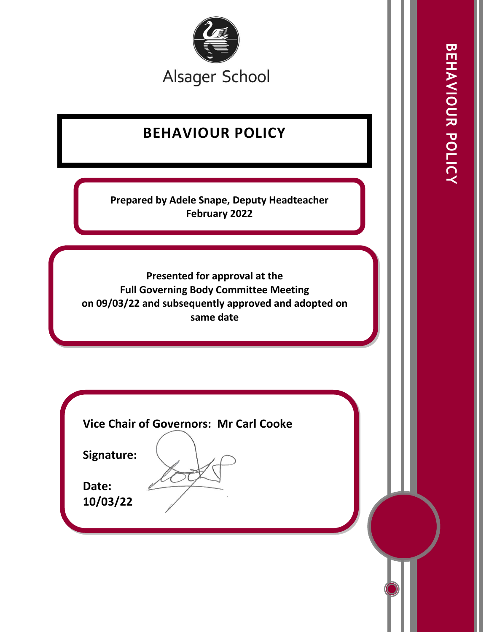

# **BEHAVIOUR POLICY**

**Prepared by Adele Snape, Deputy Headteacher February 2022**

**Presented for approval at the Full Governing Body Committee Meeting on 09/03/22 and subsequently approved and adopted on same date** 

**Vice Chair of Governors: Mr Carl Cooke**

**Signature:** 

**Date: 10/03/22**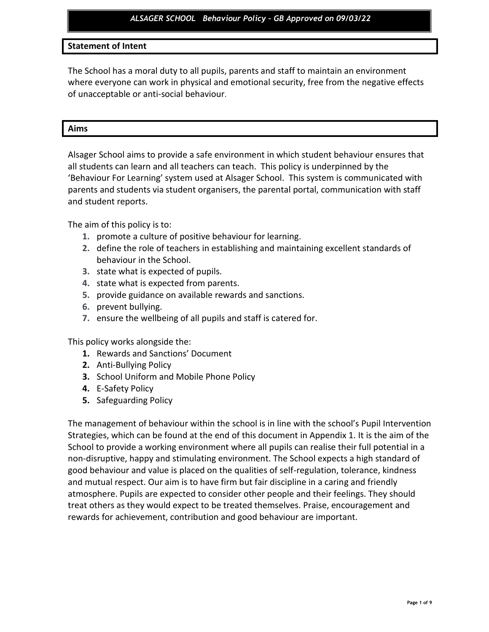# **Statement of Intent**

The School has a moral duty to all pupils, parents and staff to maintain an environment where everyone can work in physical and emotional security, free from the negative effects of unacceptable or anti-social behaviour.

#### **Aims**

Alsager School aims to provide a safe environment in which student behaviour ensures that all students can learn and all teachers can teach. This policy is underpinned by the 'Behaviour For Learning' system used at Alsager School. This system is communicated with parents and students via student organisers, the parental portal, communication with staff and student reports.

The aim of this policy is to:

- **1.** promote a culture of positive behaviour for learning.
- **2.** define the role of teachers in establishing and maintaining excellent standards of behaviour in the School.
- **3.** state what is expected of pupils.
- **4.** state what is expected from parents.
- **5.** provide guidance on available rewards and sanctions.
- **6.** prevent bullying.
- **7.** ensure the wellbeing of all pupils and staff is catered for.

This policy works alongside the:

- **1.** Rewards and Sanctions' Document
- **2.** Anti-Bullying Policy
- **3.** School Uniform and Mobile Phone Policy
- **4.** E-Safety Policy
- **5.** Safeguarding Policy

The management of behaviour within the school is in line with the school's Pupil Intervention Strategies, which can be found at the end of this document in Appendix 1. It is the aim of the School to provide a working environment where all pupils can realise their full potential in a non-disruptive, happy and stimulating environment. The School expects a high standard of good behaviour and value is placed on the qualities of self-regulation, tolerance, kindness and mutual respect. Our aim is to have firm but fair discipline in a caring and friendly atmosphere. Pupils are expected to consider other people and their feelings. They should treat others as they would expect to be treated themselves. Praise, encouragement and rewards for achievement, contribution and good behaviour are important.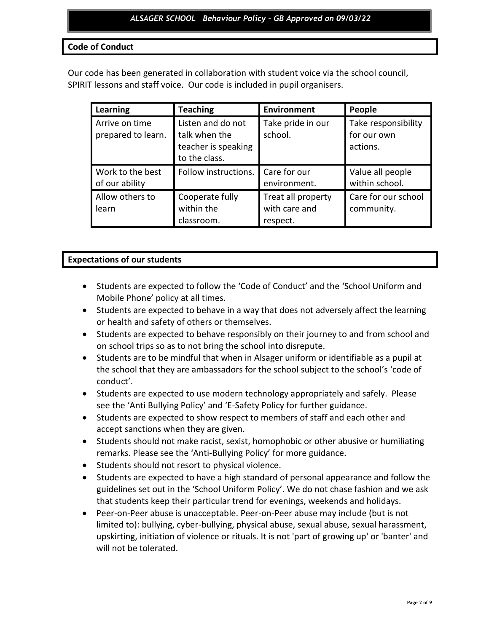## **Code of Conduct**

Our code has been generated in collaboration with student voice via the school council, SPIRIT lessons and staff voice. Our code is included in pupil organisers.

| Learning                             | <b>Teaching</b>                                                            | <b>Environment</b>                              | People                                         |
|--------------------------------------|----------------------------------------------------------------------------|-------------------------------------------------|------------------------------------------------|
| Arrive on time<br>prepared to learn. | Listen and do not<br>talk when the<br>teacher is speaking<br>to the class. | Take pride in our<br>school.                    | Take responsibility<br>for our own<br>actions. |
| Work to the best<br>of our ability   | Follow instructions.                                                       | Care for our<br>environment.                    | Value all people<br>within school.             |
| Allow others to<br>learn             | Cooperate fully<br>within the<br>classroom.                                | Treat all property<br>with care and<br>respect. | Care for our school<br>community.              |

## **Expectations of our students**

- Students are expected to follow the 'Code of Conduct' and the 'School Uniform and Mobile Phone' policy at all times.
- Students are expected to behave in a way that does not adversely affect the learning or health and safety of others or themselves.
- Students are expected to behave responsibly on their journey to and from school and on school trips so as to not bring the school into disrepute.
- Students are to be mindful that when in Alsager uniform or identifiable as a pupil at the school that they are ambassadors for the school subject to the school's 'code of conduct'.
- Students are expected to use modern technology appropriately and safely. Please see the 'Anti Bullying Policy' and 'E-Safety Policy for further guidance.
- Students are expected to show respect to members of staff and each other and accept sanctions when they are given.
- Students should not make racist, sexist, homophobic or other abusive or humiliating remarks. Please see the 'Anti-Bullying Policy' for more guidance.
- Students should not resort to physical violence.
- Students are expected to have a high standard of personal appearance and follow the guidelines set out in the 'School Uniform Policy'. We do not chase fashion and we ask that students keep their particular trend for evenings, weekends and holidays.
- Peer-on-Peer abuse is unacceptable. Peer-on-Peer abuse may include (but is not limited to): bullying, cyber-bullying, physical abuse, sexual abuse, sexual harassment, upskirting, initiation of violence or rituals. It is not 'part of growing up' or 'banter' and will not be tolerated.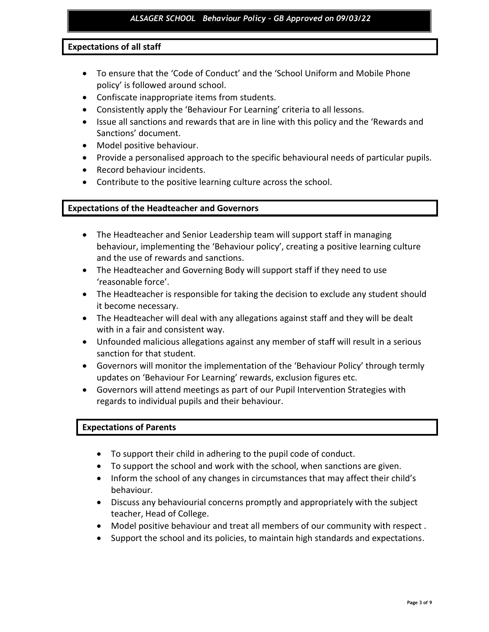# **Expectations of all staff**

- To ensure that the 'Code of Conduct' and the 'School Uniform and Mobile Phone policy' is followed around school.
- Confiscate inappropriate items from students.
- Consistently apply the 'Behaviour For Learning' criteria to all lessons.
- Issue all sanctions and rewards that are in line with this policy and the 'Rewards and Sanctions' document.
- Model positive behaviour.
- Provide a personalised approach to the specific behavioural needs of particular pupils.
- Record behaviour incidents.
- Contribute to the positive learning culture across the school.

## **Expectations of the Headteacher and Governors**

- The Headteacher and Senior Leadership team will support staff in managing behaviour, implementing the 'Behaviour policy', creating a positive learning culture and the use of rewards and sanctions.
- The Headteacher and Governing Body will support staff if they need to use 'reasonable force'.
- The Headteacher is responsible for taking the decision to exclude any student should it become necessary.
- The Headteacher will deal with any allegations against staff and they will be dealt with in a fair and consistent way.
- Unfounded malicious allegations against any member of staff will result in a serious sanction for that student.
- Governors will monitor the implementation of the 'Behaviour Policy' through termly updates on 'Behaviour For Learning' rewards, exclusion figures etc.
- Governors will attend meetings as part of our Pupil Intervention Strategies with regards to individual pupils and their behaviour.

# **Expectations of Parents**

- To support their child in adhering to the pupil code of conduct.
- To support the school and work with the school, when sanctions are given.
- Inform the school of any changes in circumstances that may affect their child's behaviour.
- Discuss any behaviourial concerns promptly and appropriately with the subject teacher, Head of College.
- Model positive behaviour and treat all members of our community with respect .
- Support the school and its policies, to maintain high standards and expectations.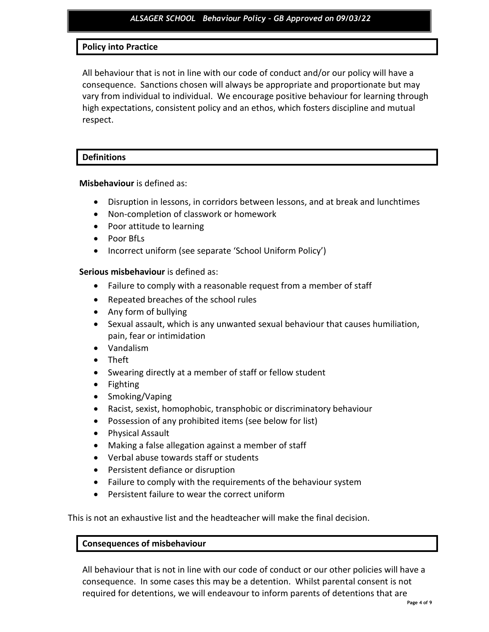# **Policy into Practice**

All behaviour that is not in line with our code of conduct and/or our policy will have a consequence. Sanctions chosen will always be appropriate and proportionate but may vary from individual to individual. We encourage positive behaviour for learning through high expectations, consistent policy and an ethos, which fosters discipline and mutual respect.

## **Definitions**

**Misbehaviour** is defined as:

- Disruption in lessons, in corridors between lessons, and at break and lunchtimes
- Non-completion of classwork or homework
- Poor attitude to learning
- Poor BfLs
- Incorrect uniform (see separate 'School Uniform Policy')

**Serious misbehaviour** is defined as:

- Failure to comply with a reasonable request from a member of staff
- Repeated breaches of the school rules
- Any form of bullying
- Sexual assault, which is any unwanted sexual behaviour that causes humiliation, pain, fear or intimidation
- Vandalism
- Theft
- Swearing directly at a member of staff or fellow student
- Fighting
- Smoking/Vaping
- Racist, sexist, homophobic, transphobic or discriminatory behaviour
- Possession of any prohibited items (see below for list)
- Physical Assault
- Making a false allegation against a member of staff
- Verbal abuse towards staff or students
- Persistent defiance or disruption
- Failure to comply with the requirements of the behaviour system
- Persistent failure to wear the correct uniform

This is not an exhaustive list and the headteacher will make the final decision.

# **Consequences of misbehaviour**

All behaviour that is not in line with our code of conduct or our other policies will have a consequence. In some cases this may be a detention. Whilst parental consent is not required for detentions, we will endeavour to inform parents of detentions that are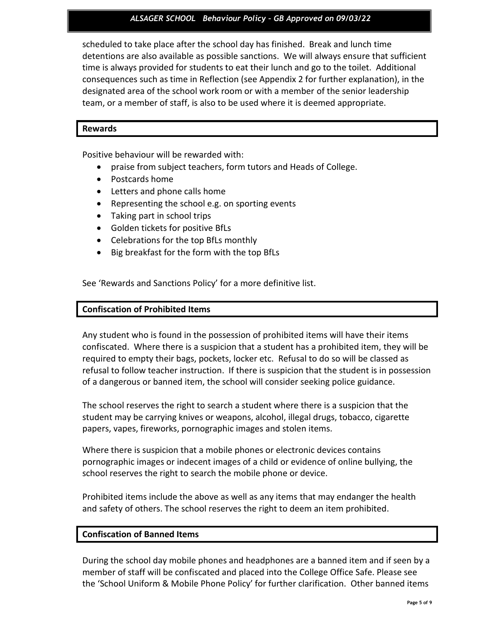## *ALSAGER SCHOOL Behaviour Policy – GB Approved on 09/03/22*

scheduled to take place after the school day has finished. Break and lunch time detentions are also available as possible sanctions. We will always ensure that sufficient time is always provided for students to eat their lunch and go to the toilet. Additional consequences such as time in Reflection (see Appendix 2 for further explanation), in the designated area of the school work room or with a member of the senior leadership team, or a member of staff, is also to be used where it is deemed appropriate.

#### **Rewards**

Positive behaviour will be rewarded with:

- praise from subject teachers, form tutors and Heads of College.
- Postcards home
- Letters and phone calls home
- Representing the school e.g. on sporting events
- Taking part in school trips
- Golden tickets for positive BfLs
- Celebrations for the top BfLs monthly
- Big breakfast for the form with the top BfLs

See 'Rewards and Sanctions Policy' for a more definitive list.

## **Confiscation of Prohibited Items**

Any student who is found in the possession of prohibited items will have their items confiscated. Where there is a suspicion that a student has a prohibited item, they will be required to empty their bags, pockets, locker etc. Refusal to do so will be classed as refusal to follow teacher instruction. If there is suspicion that the student is in possession of a dangerous or banned item, the school will consider seeking police guidance.

The school reserves the right to search a student where there is a suspicion that the student may be carrying knives or weapons, alcohol, illegal drugs, tobacco, cigarette papers, vapes, fireworks, pornographic images and stolen items.

Where there is suspicion that a mobile phones or electronic devices contains pornographic images or indecent images of a child or evidence of online bullying, the school reserves the right to search the mobile phone or device.

Prohibited items include the above as well as any items that may endanger the health and safety of others. The school reserves the right to deem an item prohibited.

#### **Confiscation of Banned Items**

During the school day mobile phones and headphones are a banned item and if seen by a member of staff will be confiscated and placed into the College Office Safe. Please see the 'School Uniform & Mobile Phone Policy' for further clarification. Other banned items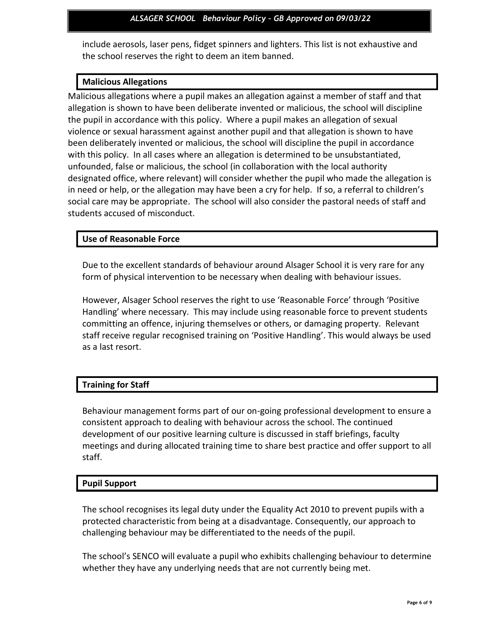include aerosols, laser pens, fidget spinners and lighters. This list is not exhaustive and the school reserves the right to deem an item banned.

# **Malicious Allegations**

Malicious allegations where a pupil makes an allegation against a member of staff and that allegation is shown to have been deliberate invented or malicious, the school will discipline the pupil in accordance with this policy. Where a pupil makes an allegation of sexual violence or sexual harassment against another pupil and that allegation is shown to have been deliberately invented or malicious, the school will discipline the pupil in accordance with this policy. In all cases where an allegation is determined to be unsubstantiated, unfounded, false or malicious, the school (in collaboration with the local authority designated office, where relevant) will consider whether the pupil who made the allegation is in need or help, or the allegation may have been a cry for help. If so, a referral to children's social care may be appropriate. The school will also consider the pastoral needs of staff and students accused of misconduct.

# **Use of Reasonable Force**

Due to the excellent standards of behaviour around Alsager School it is very rare for any form of physical intervention to be necessary when dealing with behaviour issues.

However, Alsager School reserves the right to use 'Reasonable Force' through 'Positive Handling' where necessary. This may include using reasonable force to prevent students committing an offence, injuring themselves or others, or damaging property. Relevant staff receive regular recognised training on 'Positive Handling'. This would always be used as a last resort.

# **Training for Staff**

Behaviour management forms part of our on-going professional development to ensure a consistent approach to dealing with behaviour across the school. The continued development of our positive learning culture is discussed in staff briefings, faculty meetings and during allocated training time to share best practice and offer support to all staff.

# **Pupil Support**

The school recognises its legal duty under the Equality Act 2010 to prevent pupils with a protected characteristic from being at a disadvantage. Consequently, our approach to challenging behaviour may be differentiated to the needs of the pupil.

The school's SENCO will evaluate a pupil who exhibits challenging behaviour to determine whether they have any underlying needs that are not currently being met.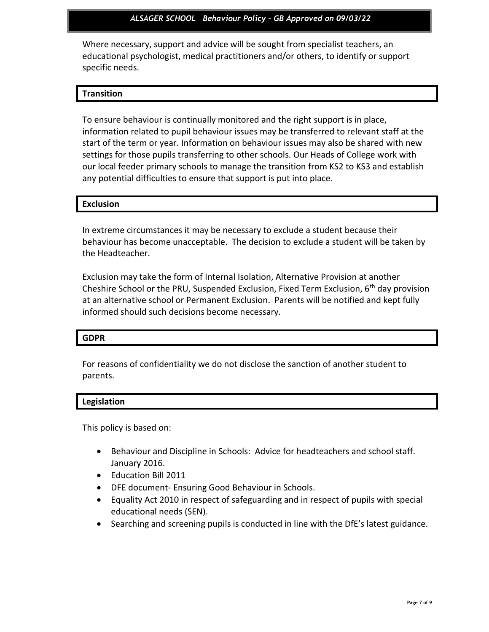## *ALSAGER SCHOOL Behaviour Policy – GB Approved on 09/03/22*

Where necessary, support and advice will be sought from specialist teachers, an educational psychologist, medical practitioners and/or others, to identify or support specific needs.

# **Transition**

To ensure behaviour is continually monitored and the right support is in place, information related to pupil behaviour issues may be transferred to relevant staff at the start of the term or year. Information on behaviour issues may also be shared with new settings for those pupils transferring to other schools. Our Heads of College work with our local feeder primary schools to manage the transition from KS2 to KS3 and establish any potential difficulties to ensure that support is put into place.

# **Exclusion**

In extreme circumstances it may be necessary to exclude a student because their behaviour has become unacceptable. The decision to exclude a student will be taken by the Headteacher.

Exclusion may take the form of Internal Isolation, Alternative Provision at another Cheshire School or the PRU, Suspended Exclusion, Fixed Term Exclusion,  $6<sup>th</sup>$  day provision at an alternative school or Permanent Exclusion. Parents will be notified and kept fully informed should such decisions become necessary.

#### **GDPR**

For reasons of confidentiality we do not disclose the sanction of another student to parents.

#### **Legislation**

This policy is based on:

- Behaviour and Discipline in Schools: Advice for headteachers and school staff. January 2016.
- Education Bill 2011
- DFE document- Ensuring Good Behaviour in Schools.
- Equality Act 2010 in respect of safeguarding and in respect of pupils with special educational needs (SEN).
- Searching and screening pupils is conducted in line with the DfE's latest guidance.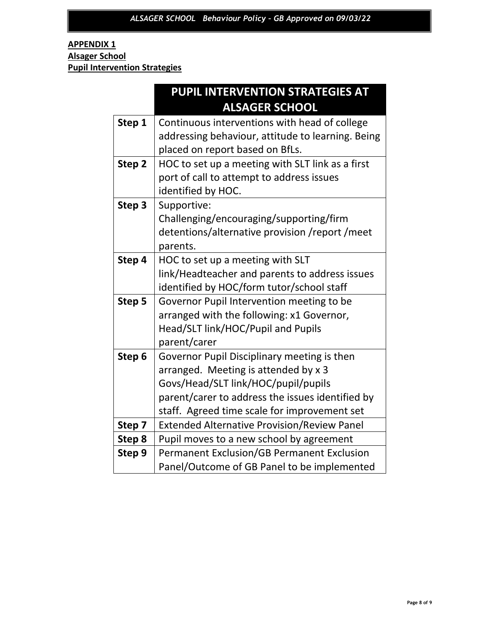# **APPENDIX 1 Alsager School Pupil Intervention Strategies**

|        | PUPIL INTERVENTION STRATEGIES AT                   |
|--------|----------------------------------------------------|
|        | <b>ALSAGER SCHOOL</b>                              |
| Step 1 | Continuous interventions with head of college      |
|        | addressing behaviour, attitude to learning. Being  |
|        | placed on report based on BfLs.                    |
| Step 2 | HOC to set up a meeting with SLT link as a first   |
|        | port of call to attempt to address issues          |
|        | identified by HOC.                                 |
| Step 3 | Supportive:                                        |
|        | Challenging/encouraging/supporting/firm            |
|        | detentions/alternative provision /report /meet     |
|        | parents.                                           |
| Step 4 | HOC to set up a meeting with SLT                   |
|        | link/Headteacher and parents to address issues     |
|        | identified by HOC/form tutor/school staff          |
| Step 5 | Governor Pupil Intervention meeting to be          |
|        | arranged with the following: x1 Governor,          |
|        | Head/SLT link/HOC/Pupil and Pupils                 |
|        | parent/carer                                       |
| Step 6 | Governor Pupil Disciplinary meeting is then        |
|        | arranged. Meeting is attended by x 3               |
|        | Govs/Head/SLT link/HOC/pupil/pupils                |
|        | parent/carer to address the issues identified by   |
|        | staff. Agreed time scale for improvement set       |
| Step 7 | <b>Extended Alternative Provision/Review Panel</b> |
| Step 8 | Pupil moves to a new school by agreement           |
| Step 9 | <b>Permanent Exclusion/GB Permanent Exclusion</b>  |
|        | Panel/Outcome of GB Panel to be implemented        |